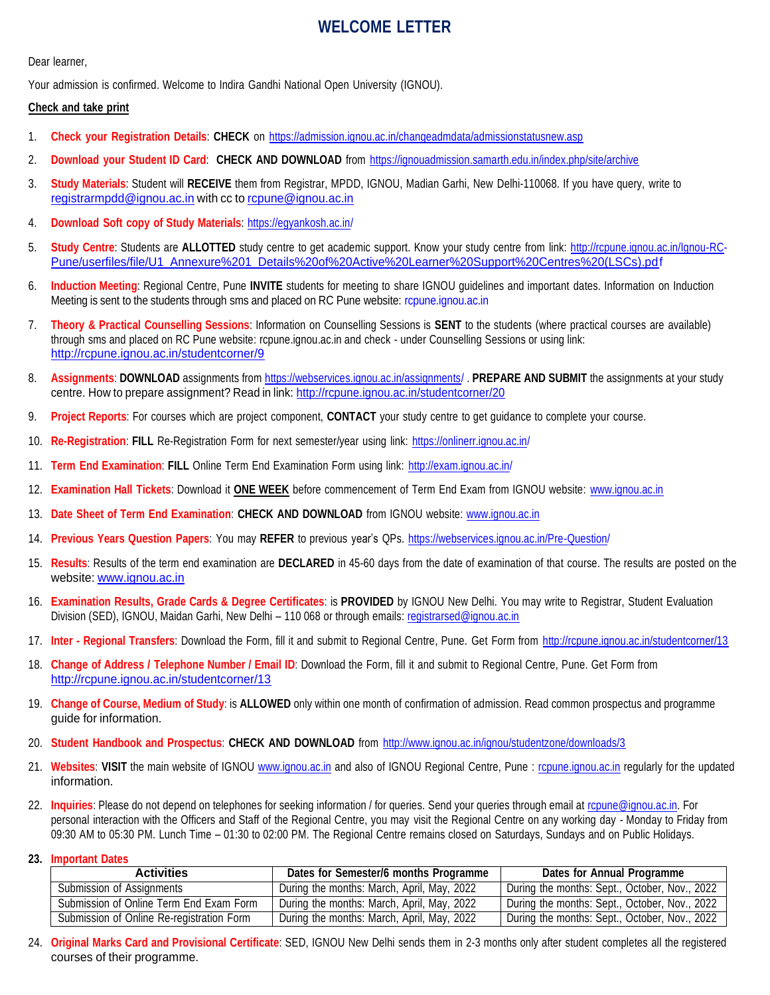### **WELCOME LETTER**

Dear learner,

Your admission is confirmed. Welcome to Indira Gandhi National Open University (IGNOU).

#### **Check and take print**

- 1. **Check your Registration Details**: **CHECK** on <https://admission.ignou.ac.in/changeadmdata/admissionstatusnew.asp>
- 2. **Download your Student ID Card**: **CHECK AND DOWNLOAD** from <https://ignouadmission.samarth.edu.in/index.php/site/archive>
- 3. **Study Materials**: Student will **RECEIVE** them from Registrar, MPDD, IGNOU, Madian Garhi, New Delhi-110068. If you have query, write to [registrarmpdd@ignou.ac.in](mailto:registrarmpdd@ignou.ac.in) with cc to [rcpune@ignou.ac.in](mailto:rcpune@ignou.ac.in)
- 4. **Download Soft copy of Study Materials**: <https://egyankosh.ac.in/>
- 5. **Study Centre**: Students are **ALLOTTED** study centre to get academic support. Know your study centre from link: [http://rcpune.ignou.ac.in/Ignou-RC-](http://rcpune.ignou.ac.in/Ignou-RC-Pune/userfiles/file/U1_Annexure%201_Details%20of%20Active%20Learner%20Support%20Centres%20(LSCs).pdf)[Pune/userfiles/file/U1\\_Annexure%201\\_Details%20of%20Active%20Learner%20Support%20Centres%20\(LSCs\).pdf](http://rcpune.ignou.ac.in/Ignou-RC-Pune/userfiles/file/U1_Annexure%201_Details%20of%20Active%20Learner%20Support%20Centres%20(LSCs).pdf)
- 6. **Induction Meeting**: Regional Centre, Pune **INVITE** students for meeting to share IGNOU guidelines and important dates. Information on Induction Meeting is sent to the students through sms and placed on RC Pune website: rcpune.ignou.ac.in
- 7. **Theory & Practical Counselling Sessions**: Information on Counselling Sessions is **SENT** to the students (where practical courses are available) through sms and placed on RC Pune website: rcpune.ignou.ac.in and check - under Counselling Sessions or using link: <http://rcpune.ignou.ac.in/studentcorner/9>
- 8. **Assignments**: **DOWNLOAD** assignments from <https://webservices.ignou.ac.in/assignments/> . **PREPARE AND SUBMIT** the assignments at your study centre. How to prepare assignment? Read in link: <http://rcpune.ignou.ac.in/studentcorner/20>
- 9. **Project Reports**: For courses which are project component, **CONTACT** your study centre to get guidance to complete your course.
- 10. **Re-Registration**: **FILL** Re-Registration Form for next semester/year using link: <https://onlinerr.ignou.ac.in/>
- 11. **Term End Examination**: **FILL** Online Term End Examination Form using link: <http://exam.ignou.ac.in/>
- 12. **Examination Hall Tickets**: Download it **ONE WEEK** before commencement of Term End Exam from IGNOU website: [www.ignou.ac.in](http://www.ignou.ac.in/)
- 13. **Date Sheet of Term End Examination**: **CHECK AND DOWNLOAD** from IGNOU website: [www.ignou.ac.in](http://www.ignou.ac.in/)
- 14. **Previous Years Question Papers**: You may **REFER** to previous year's QPs. <https://webservices.ignou.ac.in/Pre-Question/>
- 15. **Results**: Results of the term end examination are **DECLARED** in 45-60 days from the date of examination of that course. The results are posted on the website: [www.ignou.ac.in](http://www.ignou.ac.in/)
- 16. **Examination Results, Grade Cards & Degree Certificates**: is **PROVIDED** by IGNOU New Delhi. You may write to Registrar, Student Evaluation Division (SED), IGNOU, Maidan Garhi, New Delhi – 110 068 or through emails: [registrarsed@ignou.ac.in](mailto:registrarsed@ignou.ac.in)
- 17. **Inter - Regional Transfers**: Download the Form, fill it and submit to Regional Centre, Pune. Get Form from <http://rcpune.ignou.ac.in/studentcorner/13>
- 18. **Change of Address / Telephone Number / Email ID**: Download the Form, fill it and submit to Regional Centre, Pune. Get Form from <http://rcpune.ignou.ac.in/studentcorner/13>
- 19. **Change of Course, Medium of Study**: is **ALLOWED** only within one month of confirmation of admission. Read common prospectus and programme guide for information.
- 20. **Student Handbook and Prospectus**: **CHECK AND DOWNLOAD** from <http://www.ignou.ac.in/ignou/studentzone/downloads/3>
- 21. **Websites**: **VISIT** the main website of IGNOU [www.ignou.ac.in](http://www.ignou.ac.in/) and also of IGNOU Regional Centre, Pune : [rcpune.ignou.ac.in](http://rcpune.ignou.ac.in/) regularly for the updated information.
- 22. **Inquiries**: Please do not depend on telephones for seeking information / for queries. Send your queries through email at [rcpune@ignou.ac.in.](mailto:rcpune@ignou.ac.in) For personal interaction with the Officers and Staff of the Regional Centre, you may visit the Regional Centre on any working day - Monday to Friday from 09:30 AM to 05:30 PM. Lunch Time – 01:30 to 02:00 PM. The Regional Centre remains closed on Saturdays, Sundays and on Public Holidays.

#### **23. Important Dates**

| <b>Activities</b>                         | Dates for Semester/6 months Programme      | Dates for Annual Programme                    |
|-------------------------------------------|--------------------------------------------|-----------------------------------------------|
| Submission of Assignments                 | During the months: March, April, May, 2022 | During the months: Sept., October, Nov., 2022 |
| Submission of Online Term End Exam Form   | During the months: March, April, May, 2022 | During the months: Sept., October, Nov., 2022 |
| Submission of Online Re-registration Form | During the months: March, April, May, 2022 | During the months: Sept., October, Nov., 2022 |

24. **Original Marks Card and Provisional Certificate**: SED, IGNOU New Delhi sends them in 2-3 months only after student completes all the registered courses of their programme.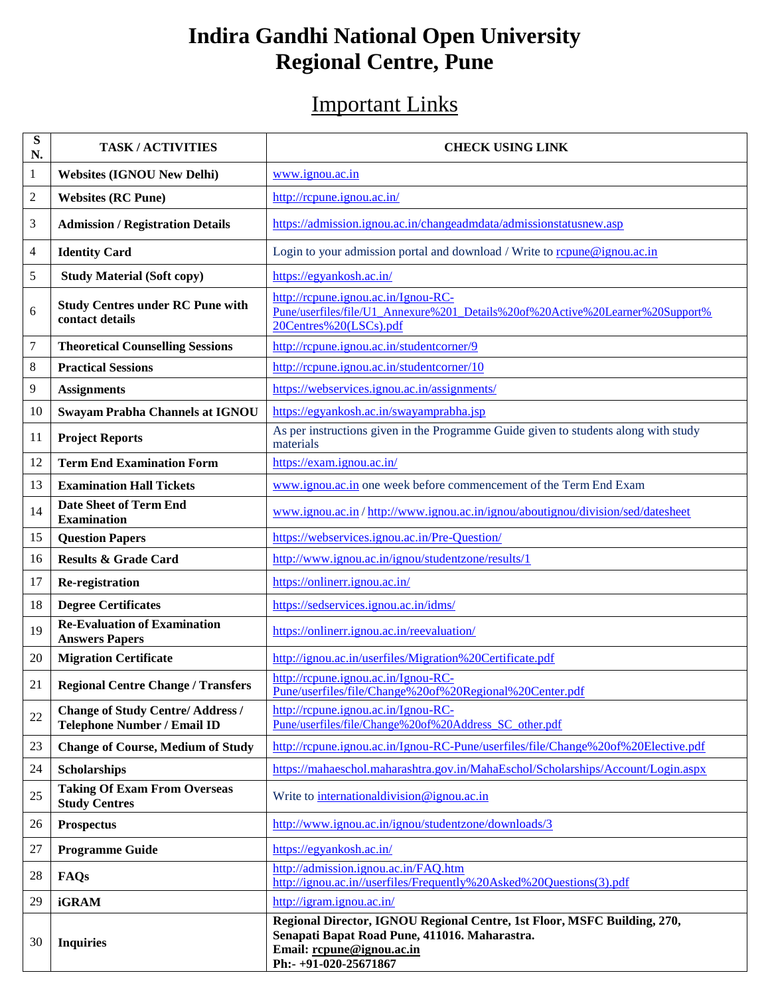# **Indira Gandhi National Open University Regional Centre, Pune**

## Important Links

| ${\bf S}$<br>N.         | <b>TASK/ACTIVITIES</b>                                                | <b>CHECK USING LINK</b>                                                                                                                                                         |  |
|-------------------------|-----------------------------------------------------------------------|---------------------------------------------------------------------------------------------------------------------------------------------------------------------------------|--|
| 1                       | <b>Websites (IGNOU New Delhi)</b>                                     | www.ignou.ac.in                                                                                                                                                                 |  |
| $\overline{\mathbf{c}}$ | <b>Websites (RC Pune)</b>                                             | http://rcpune.ignou.ac.in/                                                                                                                                                      |  |
| 3                       | <b>Admission / Registration Details</b>                               | https://admission.ignou.ac.in/changeadmdata/admissionstatusnew.asp                                                                                                              |  |
| 4                       | <b>Identity Card</b>                                                  | Login to your admission portal and download / Write to repune@ignou.ac.in                                                                                                       |  |
| 5                       | <b>Study Material (Soft copy)</b>                                     | https://egyankosh.ac.in/                                                                                                                                                        |  |
| 6                       | <b>Study Centres under RC Pune with</b><br>contact details            | http://rcpune.ignou.ac.in/Ignou-RC-<br>Pune/userfiles/file/U1_Annexure%201_Details%20of%20Active%20Learner%20Support%<br>20Centres%20(LSCs).pdf                                 |  |
| 7                       | <b>Theoretical Counselling Sessions</b>                               | http://rcpune.ignou.ac.in/studentcorner/9                                                                                                                                       |  |
| 8                       | <b>Practical Sessions</b>                                             | http://rcpune.ignou.ac.in/studentcorner/10                                                                                                                                      |  |
| 9                       | <b>Assignments</b>                                                    | https://webservices.ignou.ac.in/assignments/                                                                                                                                    |  |
| 10                      | Swayam Prabha Channels at IGNOU                                       | https://egyankosh.ac.in/swayamprabha.jsp                                                                                                                                        |  |
| 11                      | <b>Project Reports</b>                                                | As per instructions given in the Programme Guide given to students along with study<br>materials                                                                                |  |
| 12                      | <b>Term End Examination Form</b>                                      | https://exam.ignou.ac.in/                                                                                                                                                       |  |
| 13                      | <b>Examination Hall Tickets</b>                                       | www.ignou.ac.in one week before commencement of the Term End Exam                                                                                                               |  |
| 14                      | <b>Date Sheet of Term End</b><br><b>Examination</b>                   | www.ignou.ac.in/http://www.ignou.ac.in/ignou/aboutignou/division/sed/datesheet                                                                                                  |  |
| 15                      | <b>Question Papers</b>                                                | https://webservices.ignou.ac.in/Pre-Question/                                                                                                                                   |  |
| 16                      | <b>Results &amp; Grade Card</b>                                       | http://www.ignou.ac.in/ignou/studentzone/results/1                                                                                                                              |  |
| 17                      | Re-registration                                                       | https://onlinerr.ignou.ac.in/                                                                                                                                                   |  |
| 18                      | <b>Degree Certificates</b>                                            | https://sedservices.ignou.ac.in/idms/                                                                                                                                           |  |
| 19                      | <b>Re-Evaluation of Examination</b><br><b>Answers Papers</b>          | https://onlinerr.ignou.ac.in/reevaluation/                                                                                                                                      |  |
| 20                      | <b>Migration Certificate</b>                                          | http://ignou.ac.in/userfiles/Migration%20Certificate.pdf                                                                                                                        |  |
| 21                      | <b>Regional Centre Change / Transfers</b>                             | http://rcpune.ignou.ac.in/Ignou-RC-<br>Pune/userfiles/file/Change%20of%20Regional%20Center.pdf                                                                                  |  |
| 22                      | <b>Change of Study Centre/Address/</b><br>Telephone Number / Email ID | http://rcpune.ignou.ac.in/Ignou-RC-<br>Pune/userfiles/file/Change%20of%20Address_SC_other.pdf                                                                                   |  |
| 23                      | <b>Change of Course, Medium of Study</b>                              | http://rcpune.ignou.ac.in/Ignou-RC-Pune/userfiles/file/Change%20of%20Elective.pdf                                                                                               |  |
| 24                      | <b>Scholarships</b>                                                   | https://mahaeschol.maharashtra.gov.in/MahaEschol/Scholarships/Account/Login.aspx                                                                                                |  |
| 25                      | <b>Taking Of Exam From Overseas</b><br><b>Study Centres</b>           | Write to international division @ignou.ac.in                                                                                                                                    |  |
| 26                      | <b>Prospectus</b>                                                     | http://www.ignou.ac.in/ignou/studentzone/downloads/3                                                                                                                            |  |
| 27                      | <b>Programme Guide</b>                                                | https://egyankosh.ac.in/                                                                                                                                                        |  |
| 28                      | FAQs                                                                  | http://admission.ignou.ac.in/FAQ.htm<br>http://ignou.ac.in//userfiles/Frequently%20Asked%20Questions(3).pdf                                                                     |  |
| 29                      | <b>iGRAM</b>                                                          | http://igram.ignou.ac.in/                                                                                                                                                       |  |
| 30                      | <b>Inquiries</b>                                                      | Regional Director, IGNOU Regional Centre, 1st Floor, MSFC Building, 270,<br>Senapati Bapat Road Pune, 411016. Maharastra.<br>Email: rcpune@ignou.ac.in<br>Ph:- +91-020-25671867 |  |